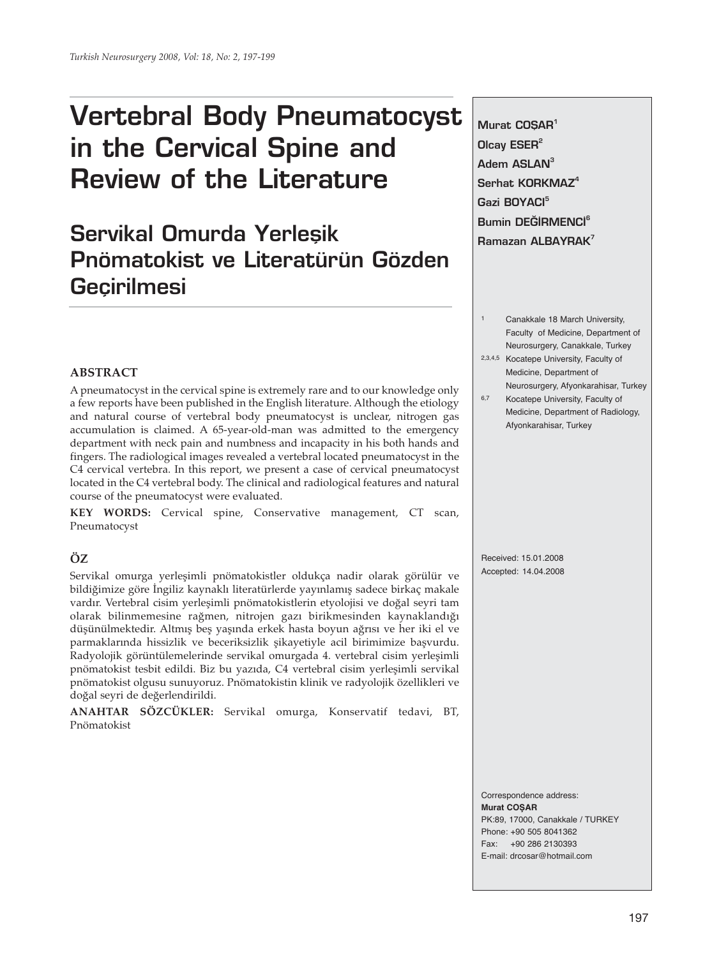# **Vertebral Body Pneumatocyst in the Cervical Spine and Review of the Literature**

# **Servikal Omurda Yerleşik Pnömatokist ve Literatürün Gözden Geçirilmesi**

**Murat COSAR**<sup>1</sup> **Olcay ESER<sup>2</sup> Adem ASLAN<sup>3</sup> Serhat KORKMAZ<sup>4</sup> Gazi BOYACI<sup>5</sup> Bumin DEĞİRMENCİ<sup>6</sup> Ramazan ALBAYRAK<sup>7</sup>** 

- Canakkale 18 March University, Faculty of Medicine, Department of Neurosurgery, Canakkale, Turkey
- 2,3,4,5 Kocatepe University, Faculty of Medicine, Department of Neurosurgery, Afyonkarahisar, Turkey
- 6,7 Kocatepe University, Faculty of Medicine, Department of Radiology, Afyonkarahisar, Turkey

### **ABSTRACT**

A pneumatocyst in the cervical spine is extremely rare and to our knowledge only a few reports have been published in the English literature. Although the etiology and natural course of vertebral body pneumatocyst is unclear, nitrogen gas accumulation is claimed. A 65-year-old-man was admitted to the emergency department with neck pain and numbness and incapacity in his both hands and fingers. The radiological images revealed a vertebral located pneumatocyst in the C4 cervical vertebra. In this report, we present a case of cervical pneumatocyst located in the C4 vertebral body. The clinical and radiological features and natural course of the pneumatocyst were evaluated.

**KEY WORDS:** Cervical spine, Conservative management, CT scan, Pneumatocyst

# **ÖZ**

Servikal omurga yerleşimli pnömatokistler oldukça nadir olarak görülür ve bildiğimize göre İngiliz kaynaklı literatürlerde yayınlamış sadece birkaç makale vardır. Vertebral cisim yerleşimli pnömatokistlerin etyolojisi ve doğal seyri tam olarak bilinmemesine rağmen, nitrojen gazı birikmesinden kaynaklandığı düşünülmektedir. Altmış beş yaşında erkek hasta boyun ağrısı ve her iki el ve parmaklarında hissizlik ve beceriksizlik şikayetiyle acil birimimize başvurdu. Radyolojik görüntülemelerinde servikal omurgada 4. vertebral cisim yerleşimli pnömatokist tesbit edildi. Biz bu yazıda, C4 vertebral cisim yerleşimli servikal pnömatokist olgusu sunuyoruz. Pnömatokistin klinik ve radyolojik özellikleri ve doğal seyri de değerlendirildi.

**ANAHTAR SÖZCÜKLER:** Servikal omurga, Konservatif tedavi, BT, Pnömatokist

Received: 15.01.2008 Accepted: 14.04.2008

Correspondence address: **Murat COŞAR** PK:89, 17000, Canakkale / TURKEY Phone: +90 505 8041362 Fax: +90 286 2130393 E-mail: drcosar@hotmail.com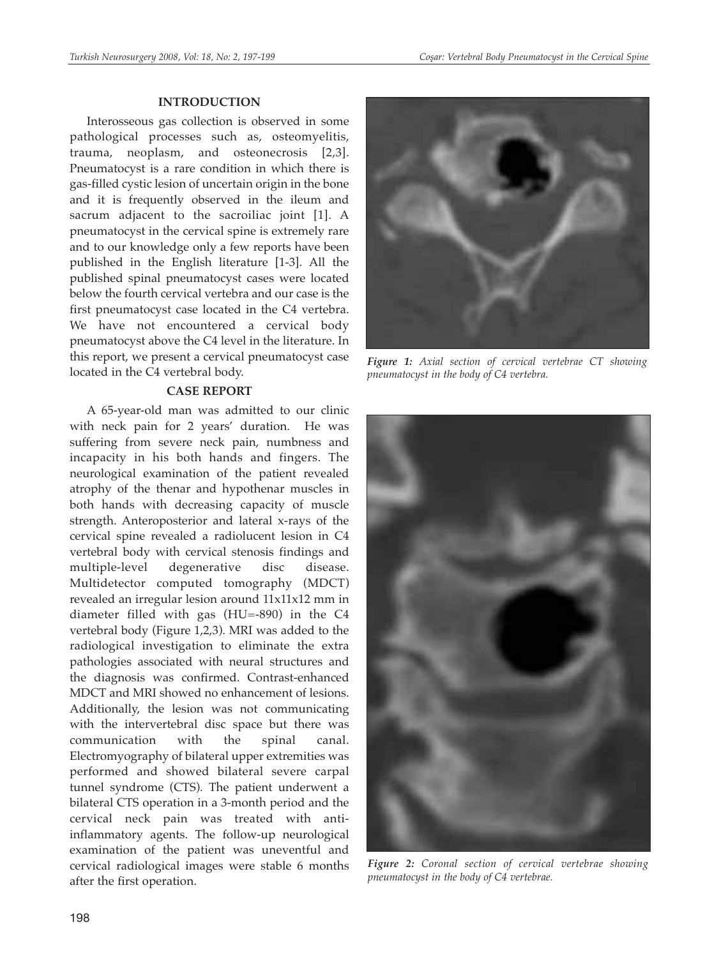#### **INTRODUCTION**

Interosseous gas collection is observed in some pathological processes such as, osteomyelitis, trauma, neoplasm, and osteonecrosis [2,3]. Pneumatocyst is a rare condition in which there is gas-filled cystic lesion of uncertain origin in the bone and it is frequently observed in the ileum and sacrum adjacent to the sacroiliac joint [1]. A pneumatocyst in the cervical spine is extremely rare and to our knowledge only a few reports have been published in the English literature [1-3]. All the published spinal pneumatocyst cases were located below the fourth cervical vertebra and our case is the first pneumatocyst case located in the C4 vertebra. We have not encountered a cervical body pneumatocyst above the C4 level in the literature. In this report, we present a cervical pneumatocyst case located in the C4 vertebral body.

# **CASE REPORT**

A 65-year-old man was admitted to our clinic with neck pain for 2 years' duration. He was suffering from severe neck pain, numbness and incapacity in his both hands and fingers. The neurological examination of the patient revealed atrophy of the thenar and hypothenar muscles in both hands with decreasing capacity of muscle strength. Anteroposterior and lateral x-rays of the cervical spine revealed a radiolucent lesion in C4 vertebral body with cervical stenosis findings and multiple-level degenerative disc disease. Multidetector computed tomography (MDCT) revealed an irregular lesion around 11x11x12 mm in diameter filled with gas (HU=-890) in the C4 vertebral body (Figure 1,2,3). MRI was added to the radiological investigation to eliminate the extra pathologies associated with neural structures and the diagnosis was confirmed. Contrast-enhanced MDCT and MRI showed no enhancement of lesions. Additionally, the lesion was not communicating with the intervertebral disc space but there was communication with the spinal canal. Electromyography of bilateral upper extremities was performed and showed bilateral severe carpal tunnel syndrome (CTS). The patient underwent a bilateral CTS operation in a 3-month period and the cervical neck pain was treated with antiinflammatory agents. The follow-up neurological examination of the patient was uneventful and cervical radiological images were stable 6 months after the first operation.



*Figure 1: Axial section of cervical vertebrae CT showing pneumatocyst in the body of C4 vertebra.*



*Figure 2: Coronal section of cervical vertebrae showing pneumatocyst in the body of C4 vertebrae.*